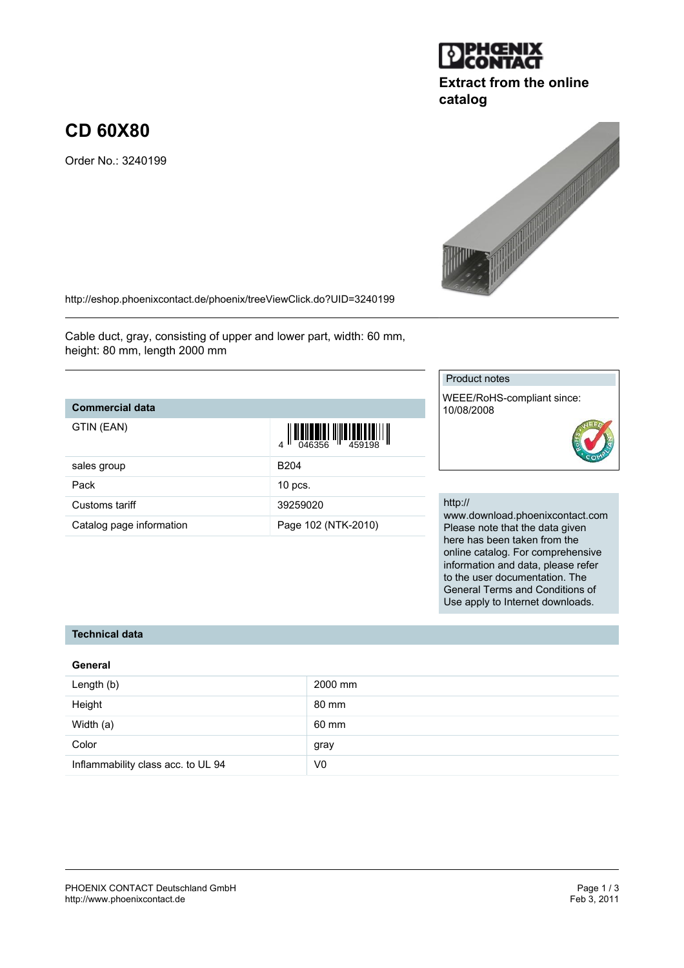#### PHOENIX CONTACT Deutschland GmbH<br>
http://www.phoenixcontact.de<br>
Feb 3, 2011 <http://www.phoenixcontact.de>

# **CD 60X80**

Order No.: 3240199

<http://eshop.phoenixcontact.de/phoenix/treeViewClick.do?UID=3240199>

Cable duct, gray, consisting of upper and lower part, width: 60 mm, height: 80 mm, length 2000 mm

## **Commercial data**

| GTIN (EAN)               | $\left\  \prod_{046356} \right\  \left\  \prod_{459198} \right\  \left\  \prod_{1459198} \right\ $ |
|--------------------------|----------------------------------------------------------------------------------------------------|
| sales group              | B <sub>204</sub>                                                                                   |
| Pack                     | $10$ pcs.                                                                                          |
| Customs tariff           | 39259020                                                                                           |
| Catalog page information | Page 102 (NTK-2010)                                                                                |

# http://

Product notes

10/08/2008

WEEE/RoHS-compliant since:

www.download.phoenixcontact.com Please note that the data given here has been taken from the online catalog. For comprehensive information and data, please refer to the user documentation. The General Terms and Conditions of Use apply to Internet downloads.

### **Technical data**

#### **General**

| Length (b)                         | 2000 mm        |
|------------------------------------|----------------|
| Height                             | 80 mm          |
| Width (a)                          | 60 mm          |
| Color                              | gray           |
| Inflammability class acc. to UL 94 | V <sub>0</sub> |



**catalog**



| $\left\  \prod_{046356} \right\  \left\  \prod_{459198} \right\  \left\  \right\ $ |  |
|------------------------------------------------------------------------------------|--|
|                                                                                    |  |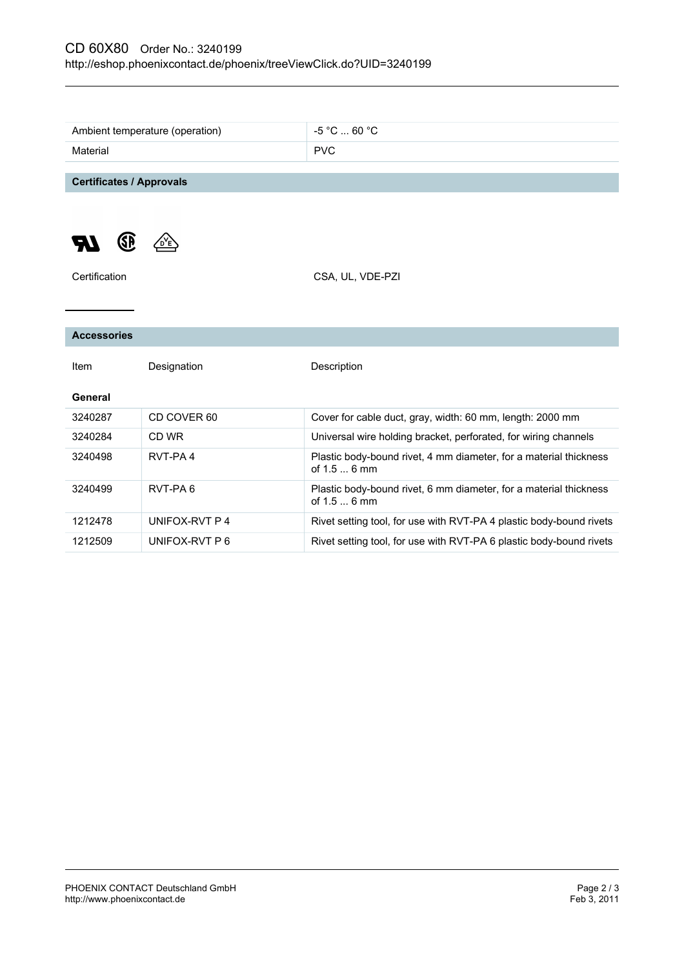|                                 | Ambient temperature (operation) | $-5$ °C $\dots$ 60 °C                                                             |
|---------------------------------|---------------------------------|-----------------------------------------------------------------------------------|
| Material                        |                                 | <b>PVC</b>                                                                        |
|                                 |                                 |                                                                                   |
| <b>Certificates / Approvals</b> |                                 |                                                                                   |
| GP                              |                                 |                                                                                   |
| Certification                   |                                 | CSA, UL, VDE-PZI                                                                  |
|                                 |                                 |                                                                                   |
| <b>Accessories</b>              |                                 |                                                                                   |
| Item                            | Designation                     | Description                                                                       |
| General                         |                                 |                                                                                   |
| 3240287                         | CD COVER 60                     | Cover for cable duct, gray, width: 60 mm, length: 2000 mm                         |
| 3240284                         | CD WR                           | Universal wire holding bracket, perforated, for wiring channels                   |
| 3240498                         | RVT-PA4                         | Plastic body-bound rivet, 4 mm diameter, for a material thickness<br>of $1.56$ mm |
| 3240499                         | RVT-PA6                         | Plastic body-bound rivet, 6 mm diameter, for a material thickness<br>of 1.5  6 mm |
| 1212478                         | UNIFOX-RVT P 4                  | Rivet setting tool, for use with RVT-PA 4 plastic body-bound rivets               |
| 1212509                         | UNIFOX-RVT P 6                  | Rivet setting tool, for use with RVT-PA 6 plastic body-bound rivets               |